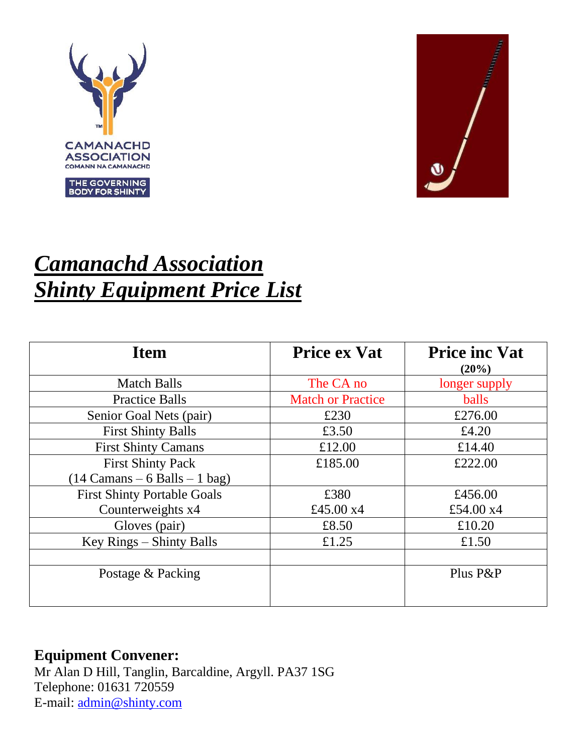



# *Camanachd Association Shinty Equipment Price List*

| <b>Item</b>                        | <b>Price ex Vat</b>      | <b>Price inc Vat</b><br>(20%) |
|------------------------------------|--------------------------|-------------------------------|
| <b>Match Balls</b>                 | The CA no                | longer supply                 |
| <b>Practice Balls</b>              | <b>Match or Practice</b> | <b>balls</b>                  |
| Senior Goal Nets (pair)            | £230                     | £276.00                       |
| <b>First Shinty Balls</b>          | £3.50                    | £4.20                         |
| <b>First Shinty Camans</b>         | £12.00                   | £14.40                        |
| <b>First Shinty Pack</b>           | £185.00                  | £222.00                       |
| $(14$ Camans – 6 Balls – 1 bag)    |                          |                               |
| <b>First Shinty Portable Goals</b> | £380                     | £456.00                       |
| Counterweights x4                  | £45.00 x4                | £54.00 x4                     |
| Gloves (pair)                      | £8.50                    | £10.20                        |
| Key Rings - Shinty Balls           | £1.25                    | £1.50                         |
|                                    |                          |                               |
| Postage & Packing                  |                          | Plus P&P                      |
|                                    |                          |                               |

#### **Equipment Convener:**

Mr Alan D Hill, Tanglin, Barcaldine, Argyll. PA37 1SG Telephone: 01631 720559 E-mail: [admin@shinty.com](mailto:admin@shinty.com)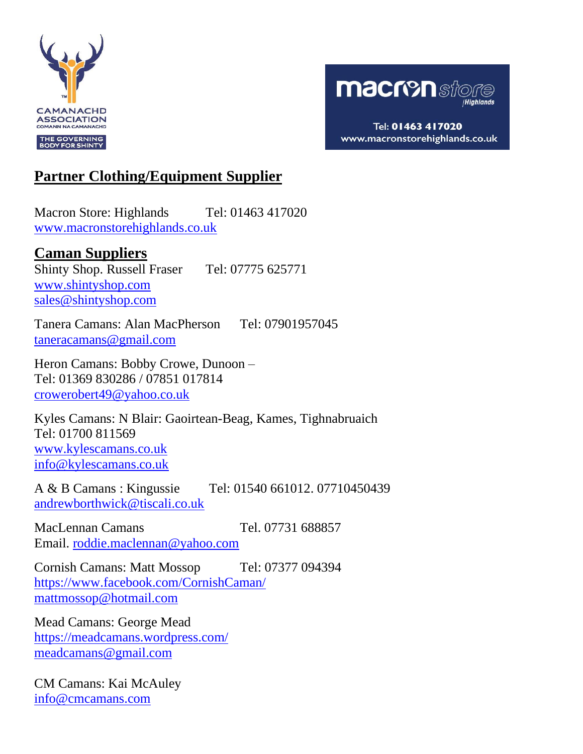



Tel: 01463 417020 www.macronstorehighlands.co.uk

## **Partner Clothing/Equipment Supplier**

Macron Store: Highlands Tel: 01463 417020 [www.macronstorehighlands.co.uk](http://www.macronstorehighlands.co.uk/) 

#### **Caman Suppliers**

Shinty Shop. Russell Fraser Tel: 07775 625771 [www.shintyshop.com](http://www.shintyshop.com/) [sales@shintyshop.com](mailto:sales@shintyshop.com)

Tanera Camans: Alan MacPherson Tel: 07901957045 [taneracamans@gmail.com](mailto:taneracamans@gmail.com)

Heron Camans: Bobby Crowe, Dunoon – Tel: 01369 830286 / 07851 017814 [crowerobert49@yahoo.co.uk](mailto:crowerobert49@yahoo.co.uk)

Kyles Camans: N Blair: Gaoirtean-Beag, Kames, Tighnabruaich Tel: 01700 811569 [www.kylescamans.co.uk](http://www.kylescamans.co.uk/) [info@kylescamans.co.uk](mailto:info@kylescamans.co.uk)

A & B Camans : Kingussie Tel: 01540 661012. 07710450439 [andrewborthwick@tiscali.co.uk](mailto:andrewborthwick@tiscali.co.uk)

MacLennan Camans Tel. 07731 688857 Email. [roddie.maclennan@yahoo.com](mailto:roddie.maclennan@yahoo.com)

Cornish Camans: Matt Mossop Tel: 07377 094394 <https://www.facebook.com/CornishCaman/> [mattmossop@hotmail.com](mailto:mattmossop@hotmail.com)

Mead Camans: George Mead <https://meadcamans.wordpress.com/> [meadcamans@gmail.com](mailto:meadcamans@gmail.com)

CM Camans: Kai McAuley [info@cmcamans.com](mailto:info@cmcamans.com)